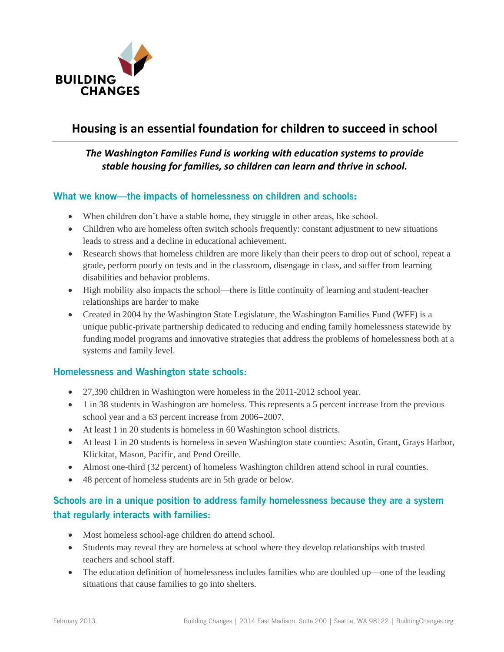

# **Housing is an essential foundation for children to succeed in school**

# *The Washington Families Fund is working with education systems to provide stable housing for families, so children can learn and thrive in school.*

### **What we know—the impacts of homelessness on children and schools:**

- When children don't have a stable home, they struggle in other areas, like school.
- Children who are homeless often switch schools frequently: constant adjustment to new situations leads to stress and a decline in educational achievement.
- Research shows that homeless children are more likely than their peers to drop out of school, repeat a grade, perform poorly on tests and in the classroom, disengage in class, and suffer from learning disabilities and behavior problems.
- High mobility also impacts the school—there is little continuity of learning and student-teacher relationships are harder to make
- Created in 2004 by the Washington State Legislature, the Washington Families Fund (WFF) is a unique public-private partnership dedicated to reducing and ending family homelessness statewide by funding model programs and innovative strategies that address the problems of homelessness both at a systems and family level.

### **Homelessness and Washington state schools:**

- 27,390 children in Washington were homeless in the 2011-2012 school year.
- 1 in 38 students in Washington are homeless. This represents a 5 percent increase from the previous school year and a 63 percent increase from 2006–2007.
- At least 1 in 20 students is homeless in 60 Washington school districts.
- At least 1 in 20 students is homeless in seven Washington state counties: Asotin, Grant, Grays Harbor, Klickitat, Mason, Pacific, and Pend Oreille.
- Almost one-third (32 percent) of homeless Washington children attend school in rural counties.
- 48 percent of homeless students are in 5th grade or below.

# **Schools are in a unique position to address family homelessness because they are a system that regularly interacts with families:**

- Most homeless school-age children do attend school.
- Students may reveal they are homeless at school where they develop relationships with trusted teachers and school staff.
- The education definition of homelessness includes families who are doubled up—one of the leading situations that cause families to go into shelters.